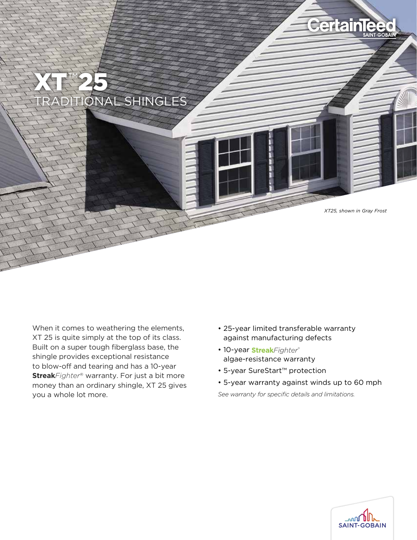

When it comes to weathering the elements, XT 25 is quite simply at the top of its class. Built on a super tough fiberglass base, the shingle provides exceptional resistance to blow-off and tearing and has a 10-year **Streak***Fighter*® warranty. For just a bit more money than an ordinary shingle, XT 25 gives you a whole lot more.

- 25-year limited transferable warranty against manufacturing defects
- 10-year StreakFighter® algae-resistance warranty
- 5-year SureStart™ protection
- 5-year warranty against winds up to 60 mph

*See warranty for specific details and limitations.*